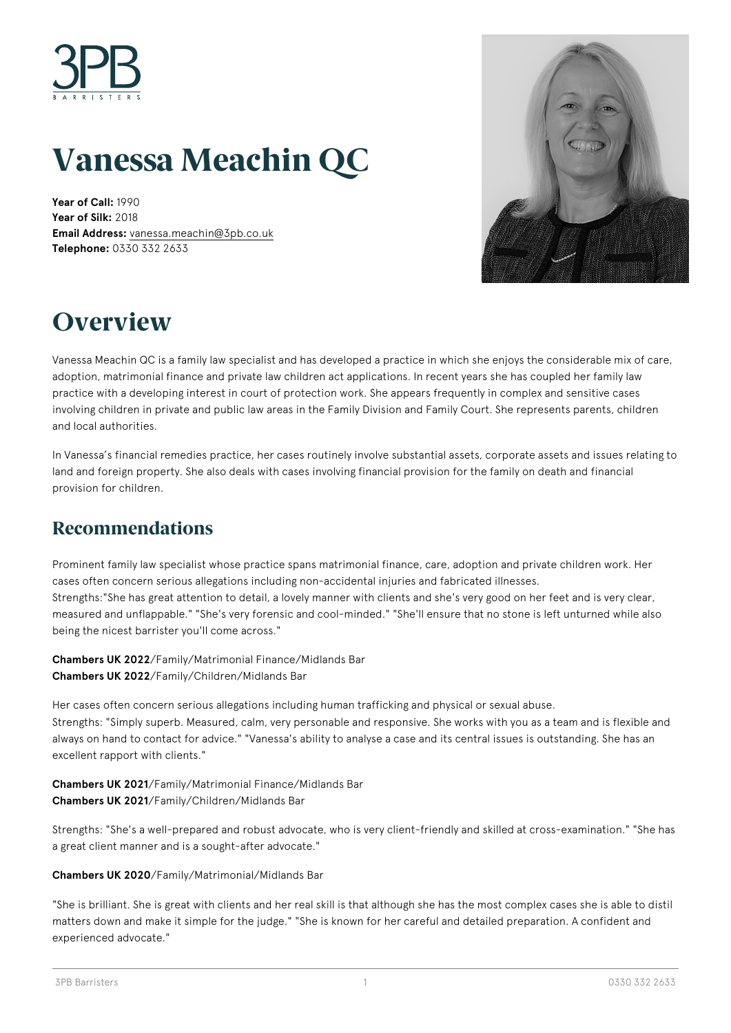

# **Vanessa Meachin QC**

**Year of Call:** 1990 **Year of Silk:** 2018 **Email Address:** [vanessa.meachin@3pb.co.uk](mailto:vanessa.meachin@3pb.co.uk) **Telephone:** 0330 332 2633



## **Overview**

Vanessa Meachin QC is a family law specialist and has developed a practice in which she enjoys the considerable mix of care, adoption, matrimonial finance and private law children act applications. In recent years she has coupled her family law practice with a developing interest in court of protection work. She appears frequently in complex and sensitive cases involving children in private and public law areas in the Family Division and Family Court. She represents parents, children and local authorities.

In Vanessa's financial remedies practice, her cases routinely involve substantial assets, corporate assets and issues relating to land and foreign property. She also deals with cases involving financial provision for the family on death and financial provision for children.

### **Recommendations**

Prominent family law specialist whose practice spans matrimonial finance, care, adoption and private children work. Her cases often concern serious allegations including non-accidental injuries and fabricated illnesses. Strengths:"She has great attention to detail, a lovely manner with clients and she's very good on her feet and is very clear, measured and unflappable." "She's very forensic and cool-minded." "She'll ensure that no stone is left unturned while also being the nicest barrister you'll come across."

**Chambers UK 2022**/Family/Matrimonial Finance/Midlands Bar **Chambers UK 2022**/Family/Children/Midlands Bar

Her cases often concern serious allegations including human trafficking and physical or sexual abuse. Strengths: "Simply superb. Measured, calm, very personable and responsive. She works with you as a team and is flexible and always on hand to contact for advice." "Vanessa's ability to analyse a case and its central issues is outstanding. She has an excellent rapport with clients."

**Chambers UK 2021**/Family/Matrimonial Finance/Midlands Bar **Chambers UK 2021**/Family/Children/Midlands Bar

Strengths: "She's a well-prepared and robust advocate, who is very client-friendly and skilled at cross-examination." "She has a great client manner and is a sought-after advocate."

**Chambers UK 2020**/Family/Matrimonial/Midlands Bar

"She is brilliant. She is great with clients and her real skill is that although she has the most complex cases she is able to distil matters down and make it simple for the judge." "She is known for her careful and detailed preparation. A confident and experienced advocate."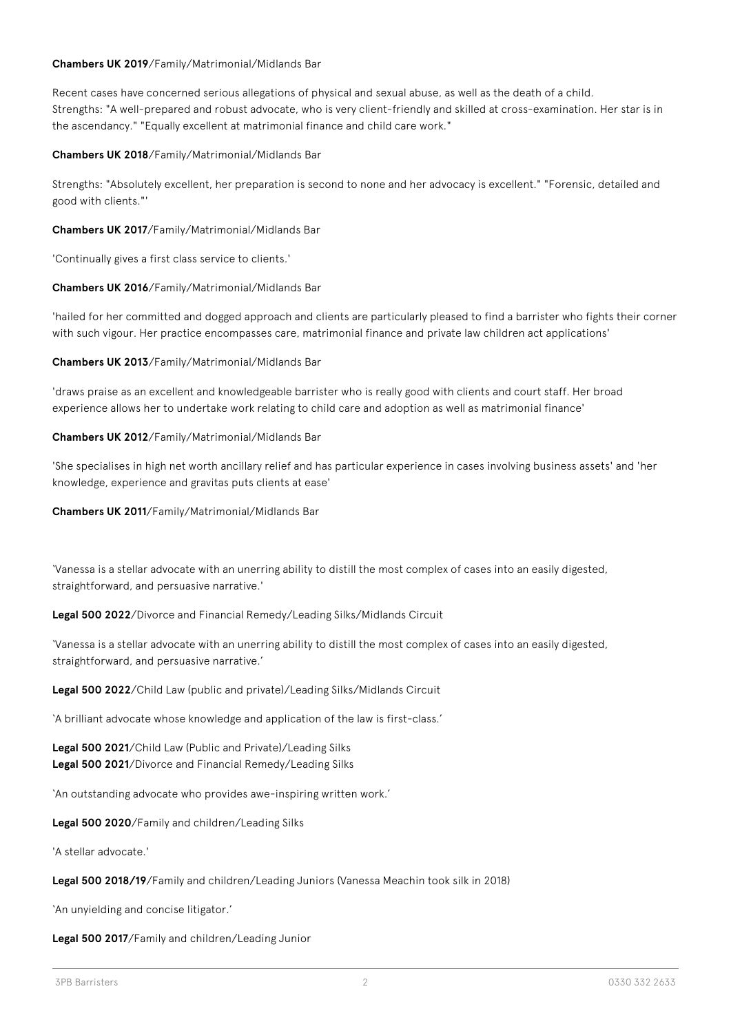#### **Chambers UK 2019**/Family/Matrimonial/Midlands Bar

Recent cases have concerned serious allegations of physical and sexual abuse, as well as the death of a child. Strengths: "A well-prepared and robust advocate, who is very client-friendly and skilled at cross-examination. Her star is in the ascendancy." "Equally excellent at matrimonial finance and child care work."

**Chambers UK 2018**/Family/Matrimonial/Midlands Bar

Strengths: "Absolutely excellent, her preparation is second to none and her advocacy is excellent." "Forensic, detailed and good with clients."'

**Chambers UK 2017**/Family/Matrimonial/Midlands Bar

'Continually gives a first class service to clients.'

**Chambers UK 2016**/Family/Matrimonial/Midlands Bar

'hailed for her committed and dogged approach and clients are particularly pleased to find a barrister who fights their corner with such vigour. Her practice encompasses care, matrimonial finance and private law children act applications'

**Chambers UK 2013**/Family/Matrimonial/Midlands Bar

'draws praise as an excellent and knowledgeable barrister who is really good with clients and court staff. Her broad experience allows her to undertake work relating to child care and adoption as well as matrimonial finance'

**Chambers UK 2012**/Family/Matrimonial/Midlands Bar

'She specialises in high net worth ancillary relief and has particular experience in cases involving business assets' and 'her knowledge, experience and gravitas puts clients at ease'

**Chambers UK 2011**/Family/Matrimonial/Midlands Bar

'Vanessa is a stellar advocate with an unerring ability to distill the most complex of cases into an easily digested, straightforward, and persuasive narrative.'

**Legal 500 2022**/Divorce and Financial Remedy/Leading Silks/Midlands Circuit

'Vanessa is a stellar advocate with an unerring ability to distill the most complex of cases into an easily digested, straightforward, and persuasive narrative.'

**Legal 500 2022**/Child Law (public and private)/Leading Silks/Midlands Circuit

'A brilliant advocate whose knowledge and application of the law is first-class.'

**Legal 500 2021**/Child Law (Public and Private)/Leading Silks **Legal 500 2021**/Divorce and Financial Remedy/Leading Silks

'An outstanding advocate who provides awe-inspiring written work.'

**Legal 500 2020**/Family and children/Leading Silks

'A stellar advocate.'

**Legal 500 2018/19**/Family and children/Leading Juniors (Vanessa Meachin took silk in 2018)

'An unyielding and concise litigator.'

**Legal 500 2017**/Family and children/Leading Junior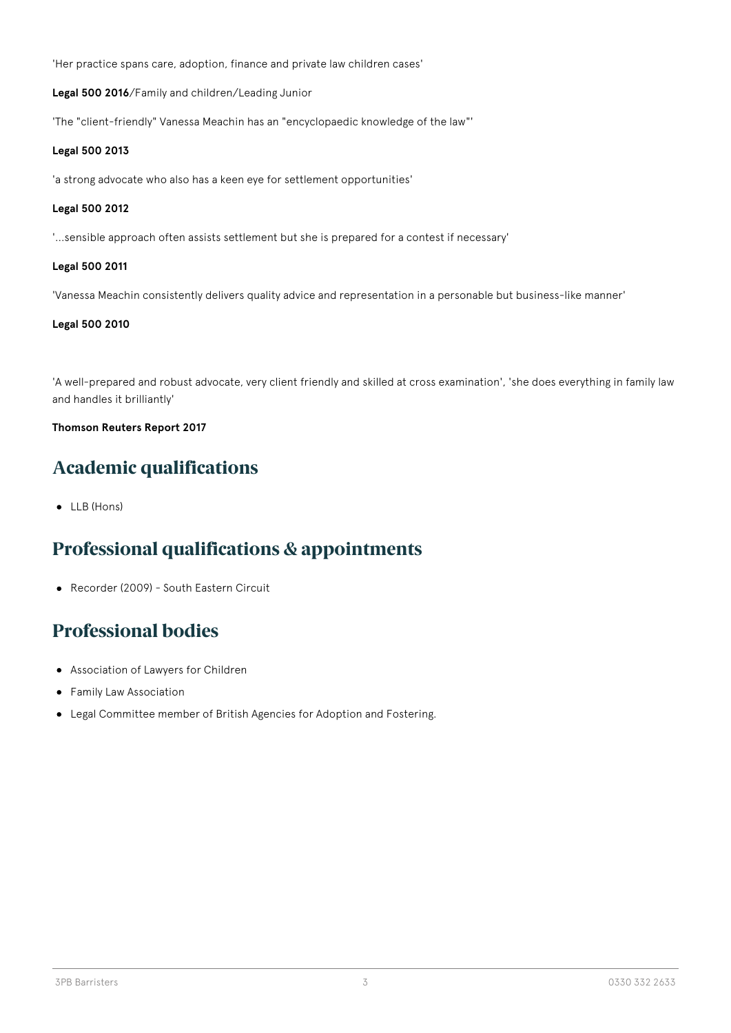'Her practice spans care, adoption, finance and private law children cases'

**Legal 500 2016**/Family and children/Leading Junior

'The "client-friendly" Vanessa Meachin has an "encyclopaedic knowledge of the law"'

#### **Legal 500 2013**

'a strong advocate who also has a keen eye for settlement opportunities'

#### **Legal 500 2012**

'...sensible approach often assists settlement but she is prepared for a contest if necessary'

#### **Legal 500 2011**

'Vanessa Meachin consistently delivers quality advice and representation in a personable but business-like manner'

#### **Legal 500 2010**

'A well-prepared and robust advocate, very client friendly and skilled at cross examination', 'she does everything in family law and handles it brilliantly'

#### **Thomson Reuters Report 2017**

### **Academic qualifications**

• LLB (Hons)

### **Professional qualifications & appointments**

Recorder (2009) - South Eastern Circuit

### **Professional bodies**

- Association of Lawyers for Children
- Family Law Association
- Legal Committee member of British Agencies for Adoption and Fostering.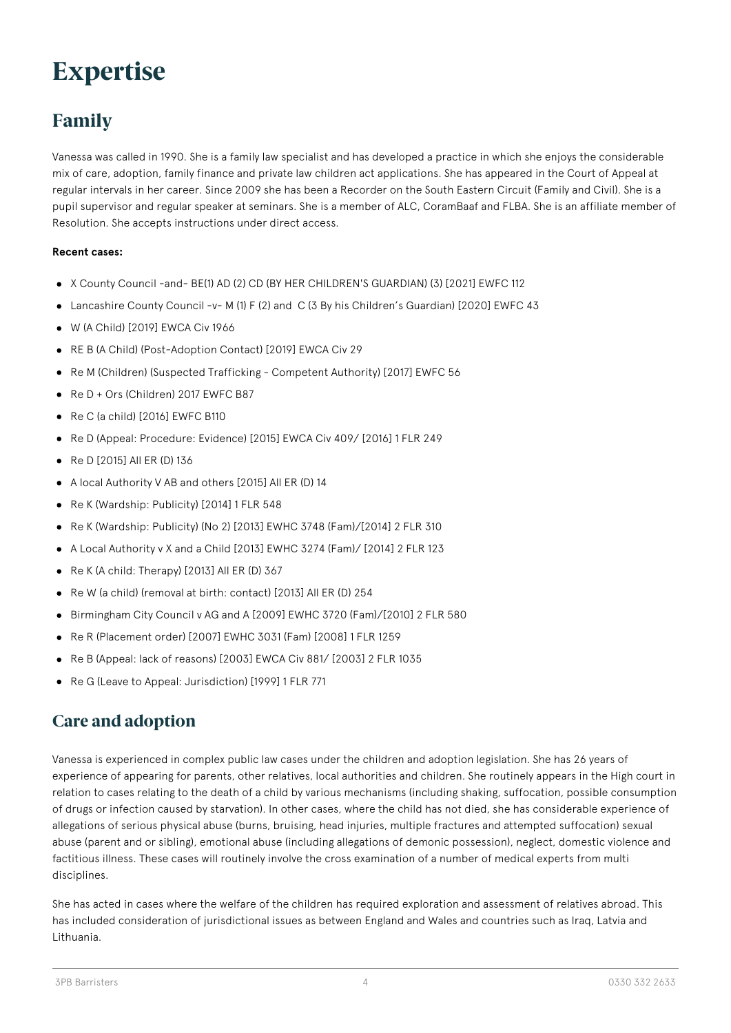## **Expertise**

### **Family**

Vanessa was called in 1990. She is a family law specialist and has developed a practice in which she enjoys the considerable mix of care, adoption, family finance and private law children act applications. She has appeared in the Court of Appeal at regular intervals in her career. Since 2009 she has been a Recorder on the South Eastern Circuit (Family and Civil). She is a pupil supervisor and regular speaker at seminars. She is a member of ALC, CoramBaaf and FLBA. She is an affiliate member of Resolution. She accepts instructions under direct access.

#### **Recent cases:**

- X County Council -and- BE(1) AD (2) CD (BY HER CHILDREN'S GUARDIAN) (3) [2021] EWFC 112
- Lancashire County Council -v- M (1) F (2) and C (3 By his Children's Guardian) [2020] EWFC 43
- W (A Child) [2019] EWCA Civ 1966
- RE B (A Child) (Post-Adoption Contact) [2019] EWCA Civ 29
- Re M (Children) (Suspected Trafficking Competent Authority) [2017] EWFC 56
- Re D + Ors (Children) 2017 EWFC B87
- Re C (a child) [2016] EWFC B110
- Re D (Appeal: Procedure: Evidence) [2015] EWCA Civ 409/ [2016] 1 FLR 249
- $\bullet$  Re D [2015] All ER (D) 136
- A local Authority V AB and others [2015] All ER (D) 14
- Re K (Wardship: Publicity) [2014] 1 FLR 548
- Re K (Wardship: Publicity) (No 2) [2013] EWHC 3748 (Fam)/[2014] 2 FLR 310
- A Local Authority v X and a Child [2013] EWHC 3274 (Fam)/ [2014] 2 FLR 123
- Re K (A child: Therapy) [2013] All ER (D) 367
- Re W (a child) (removal at birth: contact) [2013] All ER (D) 254
- Birmingham City Council v AG and A [2009] EWHC 3720 (Fam)/[2010] 2 FLR 580
- Re R (Placement order) [2007] EWHC 3031 (Fam) [2008] 1 FLR 1259
- Re B (Appeal: lack of reasons) [2003] EWCA Civ 881/ [2003] 2 FLR 1035
- Re G (Leave to Appeal: Jurisdiction) [1999] 1 FLR 771

#### **Care and adoption**

Vanessa is experienced in complex public law cases under the children and adoption legislation. She has 26 years of experience of appearing for parents, other relatives, local authorities and children. She routinely appears in the High court in relation to cases relating to the death of a child by various mechanisms (including shaking, suffocation, possible consumption of drugs or infection caused by starvation). In other cases, where the child has not died, she has considerable experience of allegations of serious physical abuse (burns, bruising, head injuries, multiple fractures and attempted suffocation) sexual abuse (parent and or sibling), emotional abuse (including allegations of demonic possession), neglect, domestic violence and factitious illness. These cases will routinely involve the cross examination of a number of medical experts from multi disciplines.

She has acted in cases where the welfare of the children has required exploration and assessment of relatives abroad. This has included consideration of jurisdictional issues as between England and Wales and countries such as Iraq, Latvia and Lithuania.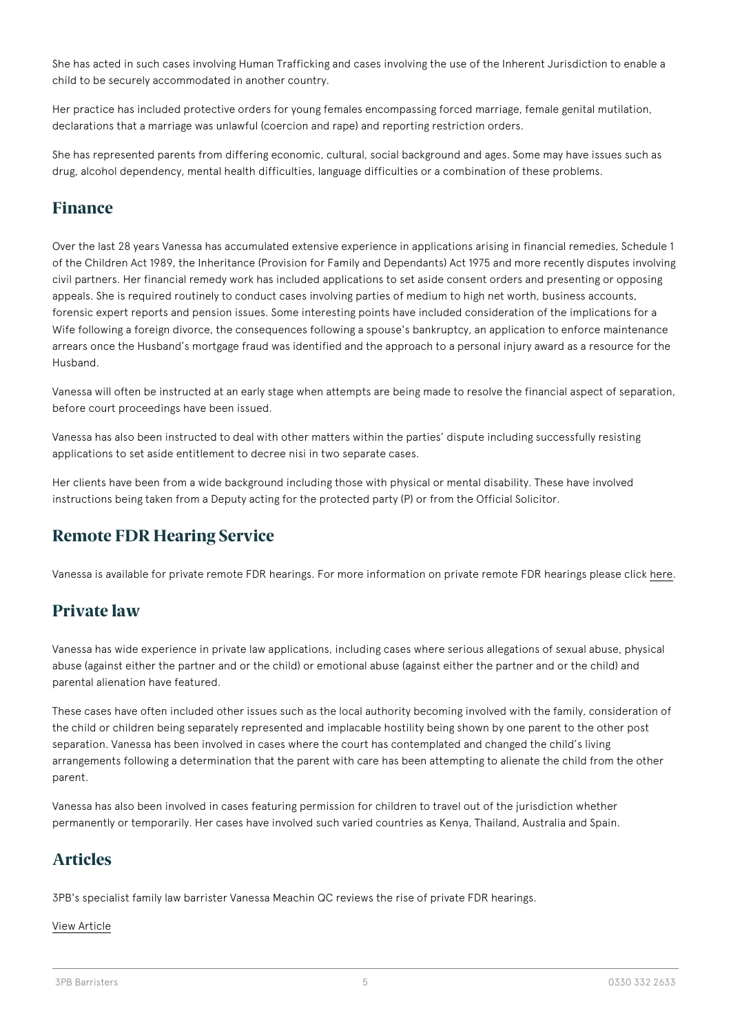She has acted in such cases involving Human Trafficking and cases involving the use of the Inherent Jurisdiction to enable a child to be securely accommodated in another country.

Her practice has included protective orders for young females encompassing forced marriage, female genital mutilation, declarations that a marriage was unlawful (coercion and rape) and reporting restriction orders.

She has represented parents from differing economic, cultural, social background and ages. Some may have issues such as drug, alcohol dependency, mental health difficulties, language difficulties or a combination of these problems.

#### **Finance**

Over the last 28 years Vanessa has accumulated extensive experience in applications arising in financial remedies, Schedule 1 of the Children Act 1989, the Inheritance (Provision for Family and Dependants) Act 1975 and more recently disputes involving civil partners. Her financial remedy work has included applications to set aside consent orders and presenting or opposing appeals. She is required routinely to conduct cases involving parties of medium to high net worth, business accounts, forensic expert reports and pension issues. Some interesting points have included consideration of the implications for a Wife following a foreign divorce, the consequences following a spouse's bankruptcy, an application to enforce maintenance arrears once the Husband's mortgage fraud was identified and the approach to a personal injury award as a resource for the Husband.

Vanessa will often be instructed at an early stage when attempts are being made to resolve the financial aspect of separation, before court proceedings have been issued.

Vanessa has also been instructed to deal with other matters within the parties' dispute including successfully resisting applications to set aside entitlement to decree nisi in two separate cases.

Her clients have been from a wide background including those with physical or mental disability. These have involved instructions being taken from a Deputy acting for the protected party (P) or from the Official Solicitor.

### **Remote FDR Hearing Service**

Vanessa is available for private remote FDR hearings. For more information on private remote FDR hearings please click [here](https://www.3pb.co.uk/expertise/family/remote-fdr-hearing/#js-order-barristers=call).

### **Private law**

Vanessa has wide experience in private law applications, including cases where serious allegations of sexual abuse, physical abuse (against either the partner and or the child) or emotional abuse (against either the partner and or the child) and parental alienation have featured.

These cases have often included other issues such as the local authority becoming involved with the family, consideration of the child or children being separately represented and implacable hostility being shown by one parent to the other post separation. Vanessa has been involved in cases where the court has contemplated and changed the child's living arrangements following a determination that the parent with care has been attempting to alienate the child from the other parent.

Vanessa has also been involved in cases featuring permission for children to travel out of the jurisdiction whether permanently or temporarily. Her cases have involved such varied countries as Kenya, Thailand, Australia and Spain.

### **Articles**

3PB's specialist family law barrister Vanessa Meachin QC reviews the rise of private FDR hearings.

#### [View Article](https://www.3pb.co.uk/content/uploads/The-Rise-of-the-Private-FDR-Vanessa-Meachin-QC-16-04-2020.pdf)